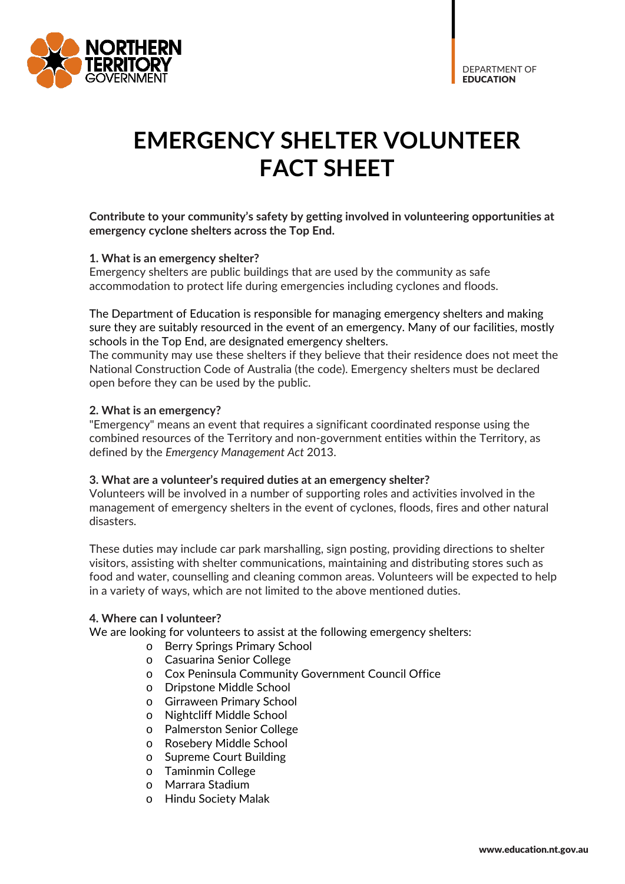

# **EMERGENCY SHELTER VOLUNTEER FACT SHEET**

### **Contribute to your community's safety by getting involved in volunteering opportunities at emergency cyclone shelters across the Top End.**

#### **1. What is an emergency shelter?**

Emergency shelters are public buildings that are used by the community as safe accommodation to protect life during emergencies including cyclones and floods.

The Department of Education is responsible for managing emergency shelters and making sure they are suitably resourced in the event of an emergency. Many of our facilities, mostly schools in the Top End, are designated emergency shelters.

The community may use these shelters if they believe that their residence does not meet the National Construction Code of Australia (the code). Emergency shelters must be declared open before they can be used by the public.

#### **2. What is an emergency?**

"Emergency" means an event that requires a significant coordinated response using the combined resources of the Territory and non-government entities within the Territory, as defined by the *Emergency Management Act* 2013.

#### **3. What are a volunteer's required duties at an emergency shelter?**

Volunteers will be involved in a number of supporting roles and activities involved in the management of emergency shelters in the event of cyclones, floods, fires and other natural disasters.

These duties may include car park marshalling, sign posting, providing directions to shelter visitors, assisting with shelter communications, maintaining and distributing stores such as food and water, counselling and cleaning common areas. Volunteers will be expected to help in a variety of ways, which are not limited to the above mentioned duties.

#### **4. Where can I volunteer?**

We are looking for volunteers to assist at the following emergency shelters:

- o Berry Springs Primary School
- o Casuarina Senior College
- o Cox Peninsula Community Government Council Office
- o Dripstone Middle School
- o Girraween Primary School
- o Nightcliff Middle School
- o Palmerston Senior College
- o Rosebery Middle School
- o Supreme Court Building
- o Taminmin College
- o Marrara Stadium
- o Hindu Society Malak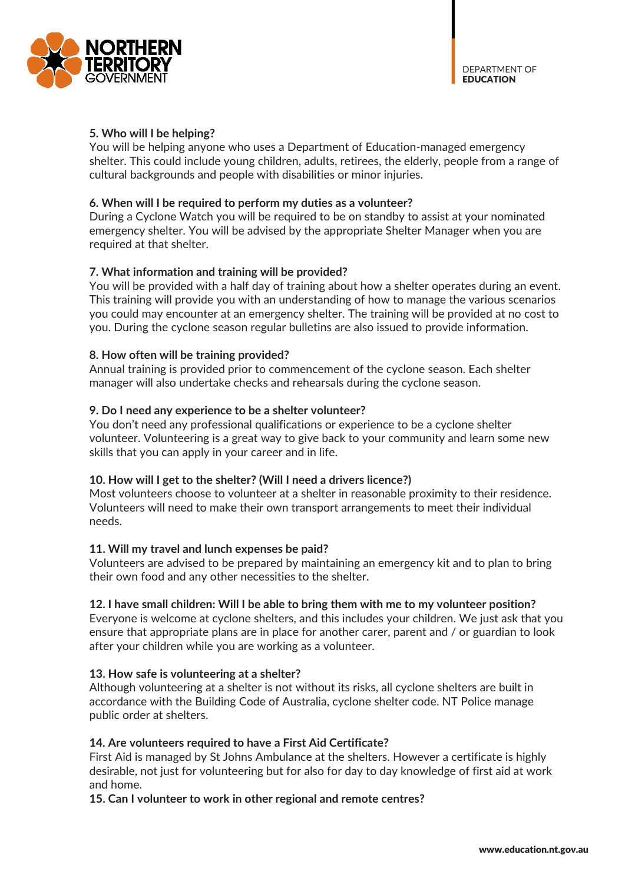

#### **5. Who will I be helping?**

You will be helping anyone who uses a Department of Education-managed emergency shelter. This could include young children, adults, retirees, the elderly, people from a range of cultural backgrounds and people with disabilities or minor injuries.

#### **6. When will I be required to perform my duties as a volunteer?**

During a Cyclone Watch you will be required to be on standby to assist at your nominated emergency shelter. You will be advised by the appropriate Shelter Manager when you are required at that shelter.

# **7. What information and training will be provided?**

You will be provided with a half day of training about how a shelter operates during an event. This training will provide you with an understanding of how to manage the various scenarios you could may encounter at an emergency shelter. The training will be provided at no cost to you. During the cyclone season regular bulletins are also issued to provide information.

#### **8. How often will be training provided?**

Annual training is provided prior to commencement of the cyclone season. Each shelter manager will also undertake checks and rehearsals during the cyclone season.

#### **9. Do I need any experience to be a shelter volunteer?**

You don't need any professional qualifications or experience to be a cyclone shelter volunteer. Volunteering is a great way to give back to your community and learn some new skills that you can apply in your career and in life.

#### **10. How will I get to the shelter? (Will I need a drivers licence?)**

Most volunteers choose to volunteer at a shelter in reasonable proximity to their residence. Volunteers will need to make their own transport arrangements to meet their individual needs.

#### **11. Will my travel and lunch expenses be paid?**

Volunteers are advised to be prepared by maintaining an emergency kit and to plan to bring their own food and any other necessities to the shelter.

#### **12. I have small children: Will I be able to bring them with me to my volunteer position?**

Everyone is welcome at cyclone shelters, and this includes your children. We just ask that you ensure that appropriate plans are in place for another carer, parent and / or guardian to look after your children while you are working as a volunteer.

#### **13. How safe is volunteering at a shelter?**

Although volunteering at a shelter is not without its risks, all cyclone shelters are built in accordance with the Building Code of Australia, cyclone shelter code. NT Police manage public order at shelters.

#### **14. Are volunteers required to have a First Aid Certificate?**

First Aid is managed by St Johns Ambulance at the shelters. However a certificate is highly desirable, not just for volunteering but for also for day to day knowledge of first aid at work and home.

**15. Can I volunteer to work in other regional and remote centres?**